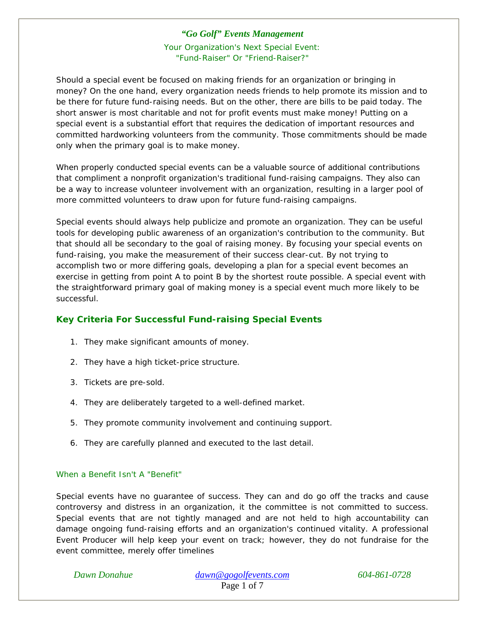Your Organization's Next Special Event: "Fund-Raiser" Or "Friend-Raiser?"

Should a special event be focused on making friends for an organization or bringing in money? On the one hand, every organization needs friends to help promote its mission and to be there for future fund-raising needs. But on the other, there are bills to be paid today. The short answer is most charitable and not for profit events must make money! Putting on a special event is a substantial effort that requires the dedication of important resources and committed hardworking volunteers from the community. Those commitments should be made only when the primary goal is to make money.

When properly conducted special events can be a valuable source of additional contributions that compliment a nonprofit organization's traditional fund-raising campaigns. They also can be a way to increase volunteer involvement with an organization, resulting in a larger pool of more committed volunteers to draw upon for future fund-raising campaigns.

Special events should always help publicize and promote an organization. They can be useful tools for developing public awareness of an organization's contribution to the community. But that should all be secondary to the goal of raising money. By focusing your special events on fund-raising, you make the measurement of their success clear-cut. By not trying to accomplish two or more differing goals, developing a plan for a special event becomes an exercise in getting from point A to point B by the shortest route possible. A special event with the straightforward primary goal of making money is a special event much more likely to be successful.

# **Key Criteria For Successful Fund-raising Special Events**

- 1. They make significant amounts of money.
- 2. They have a high ticket-price structure.
- 3. Tickets are pre-sold.
- 4. They are deliberately targeted to a well-defined market.
- 5. They promote community involvement and continuing support.
- 6. They are carefully planned and executed to the last detail.

## When a Benefit Isn't A "Benefit"

Special events have no guarantee of success. They can and do go off the tracks and cause controversy and distress in an organization, it the committee is not committed to success. Special events that are not tightly managed and are not held to high accountability can damage ongoing fund-raising efforts and an organization's continued vitality. A professional Event Producer will help keep your event on track; however, they do not fundraise for the event committee, merely offer timelines

*Dawn Donahue dawn@gogolfevents.com 604-861-0728*  Page 1 of 7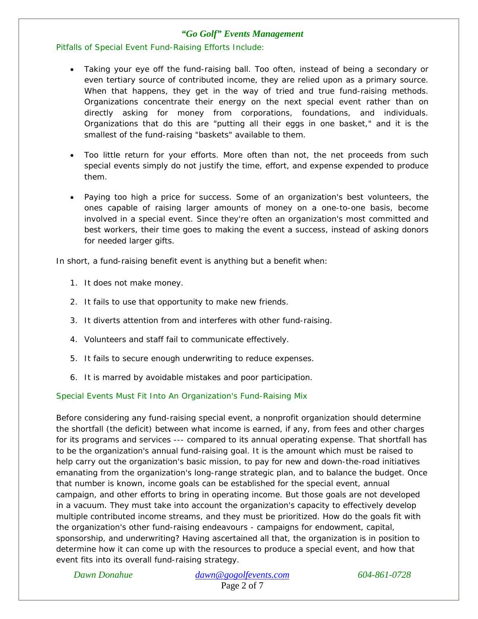Pitfalls of Special Event Fund-Raising Efforts Include:

- Taking your eye off the fund-raising ball. Too often, instead of being a secondary or even tertiary source of contributed income, they are relied upon as a primary source. When that happens, they get in the way of tried and true fund-raising methods. Organizations concentrate their energy on the next special event rather than on directly asking for money from corporations, foundations, and individuals. Organizations that do this are "putting all their eggs in one basket," and it is the smallest of the fund-raising "baskets" available to them.
- Too little return for your efforts. More often than not, the net proceeds from such special events simply do not justify the time, effort, and expense expended to produce them.
- Paying too high a price for success. Some of an organization's best volunteers, the ones capable of raising larger amounts of money on a one-to-one basis, become involved in a special event. Since they're often an organization's most committed and best workers, their time goes to making the event a success, instead of asking donors for needed larger gifts.

In short, a fund-raising benefit event is anything but a benefit when:

- 1. It does not make money.
- 2. It fails to use that opportunity to make new friends.
- 3. It diverts attention from and interferes with other fund-raising.
- 4. Volunteers and staff fail to communicate effectively.
- 5. It fails to secure enough underwriting to reduce expenses.
- 6. It is marred by avoidable mistakes and poor participation.

### Special Events Must Fit Into An Organization's Fund-Raising Mix

Before considering any fund-raising special event, a nonprofit organization should determine the shortfall (the deficit) between what income is earned, if any, from fees and other charges for its programs and services --- compared to its annual operating expense. That shortfall has to be the organization's annual fund-raising goal. It is the amount which must be raised to help carry out the organization's basic mission, to pay for new and down-the-road initiatives emanating from the organization's long-range strategic plan, and to balance the budget. Once that number is known, income goals can be established for the special event, annual campaign, and other efforts to bring in operating income. But those goals are not developed in a vacuum. They must take into account the organization's capacity to effectively develop multiple contributed income streams, and they must be prioritized. How do the goals fit with the organization's other fund-raising endeavours - campaigns for endowment, capital, sponsorship, and underwriting? Having ascertained all that, the organization is in position to determine how it can come up with the resources to produce a special event, and how that event fits into its overall fund-raising strategy.

*Dawn Donahue dawn@gogolfevents.com 604-861-0728*  Page 2 of 7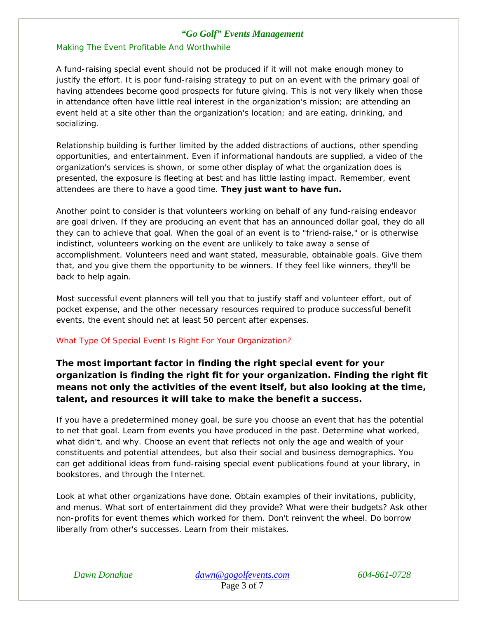### Making The Event Profitable And Worthwhile

A fund-raising special event should not be produced if it will not make enough money to justify the effort. It is poor fund-raising strategy to put on an event with the primary goal of having attendees become good prospects for future giving. This is not very likely when those in attendance often have little real interest in the organization's mission; are attending an event held at a site other than the organization's location; and are eating, drinking, and socializing.

Relationship building is further limited by the added distractions of auctions, other spending opportunities, and entertainment. Even if informational handouts are supplied, a video of the organization's services is shown, or some other display of what the organization does is presented, the exposure is fleeting at best and has little lasting impact. Remember, event attendees are there to have a good time. **They just want to have fun.**

Another point to consider is that volunteers working on behalf of any fund-raising endeavor are goal driven. If they are producing an event that has an announced dollar goal, they do all they can to achieve that goal. When the goal of an event is to "friend-raise," or is otherwise indistinct, volunteers working on the event are unlikely to take away a sense of accomplishment. Volunteers need and want stated, measurable, obtainable goals. Give them that, and you give them the opportunity to be winners. If they feel like winners, they'll be back to help again.

Most successful event planners will tell you that to justify staff and volunteer effort, out of pocket expense, and the other necessary resources required to produce successful benefit events, the event should net at least 50 percent after expenses.

### What Type Of Special Event Is Right For Your Organization?

**The most important factor in finding the right special event for your organization is finding the right fit for your organization. Finding the right fit means not only the activities of the event itself, but also looking at the time, talent, and resources it will take to make the benefit a success.** 

If you have a predetermined money goal, be sure you choose an event that has the potential to net that goal. Learn from events you have produced in the past. Determine what worked, what didn't, and why. Choose an event that reflects not only the age and wealth of your constituents and potential attendees, but also their social and business demographics. You can get additional ideas from fund-raising special event publications found at your library, in bookstores, and through the Internet.

Look at what other organizations have done. Obtain examples of their invitations, publicity, and menus. What sort of entertainment did they provide? What were their budgets? Ask other non-profits for event themes which worked for them. Don't reinvent the wheel. Do borrow liberally from other's successes. Learn from their mistakes.

*Dawn Donahue dawn@gogolfevents.com 604-861-0728*  Page 3 of 7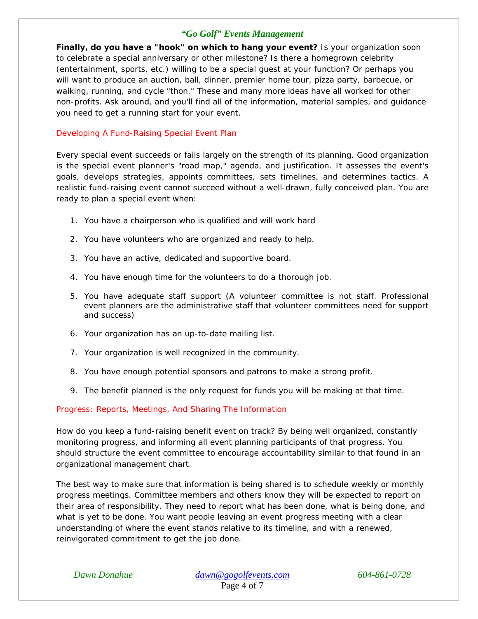**Finally, do you have a "hook" on which to hang your event?** Is your organization soon to celebrate a special anniversary or other milestone? Is there a homegrown celebrity (entertainment, sports, etc.) willing to be a special guest at your function? Or perhaps you will want to produce an auction, ball, dinner, premier home tour, pizza party, barbecue, or walking, running, and cycle "thon." These and many more ideas have all worked for other non-profits. Ask around, and you'll find all of the information, material samples, and guidance you need to get a running start for your event.

## Developing A Fund-Raising Special Event Plan

Every special event succeeds or fails largely on the strength of its planning. Good organization is the special event planner's "road map," agenda, and justification. It assesses the event's goals, develops strategies, appoints committees, sets timelines, and determines tactics. A realistic fund-raising event cannot succeed without a well-drawn, fully conceived plan. You are ready to plan a special event when:

- 1. You have a chairperson who is qualified and will work hard
- 2. You have volunteers who are organized and ready to help.
- 3. You have an active, dedicated and supportive board.
- 4. You have enough time for the volunteers to do a thorough job.
- 5. You have adequate staff support (A volunteer committee is not staff. Professional event planners are the administrative staff that volunteer committees need for support and success)
- 6. Your organization has an up-to-date mailing list.
- 7. Your organization is well recognized in the community.
- 8. You have enough potential sponsors and patrons to make a strong profit.
- 9. The benefit planned is the only request for funds you will be making at that time.

Progress: Reports, Meetings, And Sharing The Information

How do you keep a fund-raising benefit event on track? By being well organized, constantly monitoring progress, and informing all event planning participants of that progress. You should structure the event committee to encourage accountability similar to that found in an organizational management chart.

The best way to make sure that information is being shared is to schedule weekly or monthly progress meetings. Committee members and others know they will be expected to report on their area of responsibility. They need to report what has been done, what is being done, and what is yet to be done. You want people leaving an event progress meeting with a clear understanding of where the event stands relative to its timeline, and with a renewed, reinvigorated commitment to get the job done.

*Dawn Donahue dawn@gogolfevents.com 604-861-0728*  Page 4 of 7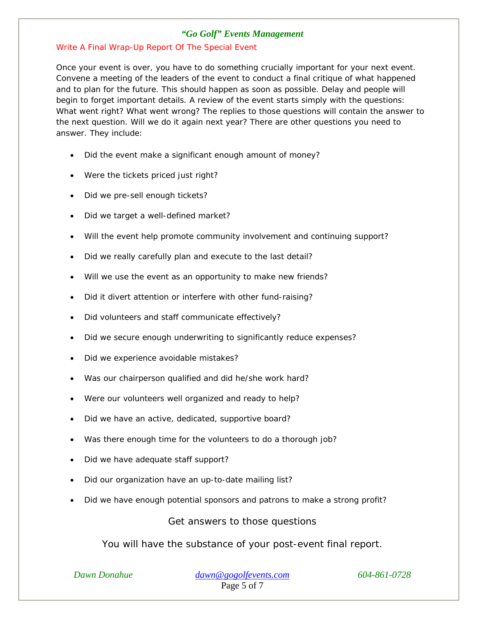### Write A Final Wrap-Up Report Of The Special Event

Once your event is over, you have to do something crucially important for your next event. Convene a meeting of the leaders of the event to conduct a final critique of what happened and to plan for the future. This should happen as soon as possible. Delay and people will begin to forget important details. A review of the event starts simply with the questions: What went right? What went wrong? The replies to those questions will contain the answer to the next question. Will we do it again next year? There are other questions you need to answer. They include:

- Did the event make a significant enough amount of money?
- Were the tickets priced just right?
- Did we pre-sell enough tickets?
- Did we target a well-defined market?
- Will the event help promote community involvement and continuing support?
- Did we really carefully plan and execute to the last detail?
- Will we use the event as an opportunity to make new friends?
- Did it divert attention or interfere with other fund-raising?
- Did volunteers and staff communicate effectively?
- Did we secure enough underwriting to significantly reduce expenses?
- Did we experience avoidable mistakes?
- Was our chairperson qualified and did he/she work hard?
- Were our volunteers well organized and ready to help?
- Did we have an active, dedicated, supportive board?
- Was there enough time for the volunteers to do a thorough job?
- Did we have adequate staff support?
- Did our organization have an up-to-date mailing list?
- Did we have enough potential sponsors and patrons to make a strong profit?

Get answers to those questions

You will have the substance of your post-event final report.

*Dawn Donahue dawn@gogolfevents.com 604-861-0728*  Page 5 of 7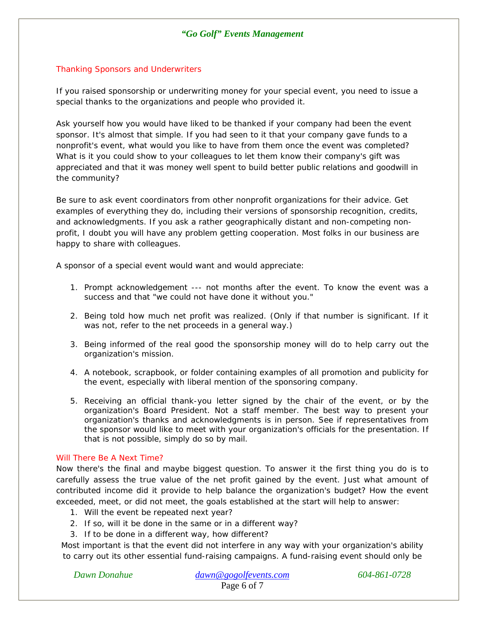### Thanking Sponsors and Underwriters

If you raised sponsorship or underwriting money for your special event, you need to issue a special thanks to the organizations and people who provided it.

Ask yourself how you would have liked to be thanked if your company had been the event sponsor. It's almost that simple. If you had seen to it that your company gave funds to a nonprofit's event, what would you like to have from them once the event was completed? What is it you could show to your colleagues to let them know their company's gift was appreciated and that it was money well spent to build better public relations and goodwill in the community?

Be sure to ask event coordinators from other nonprofit organizations for their advice. Get examples of everything they do, including their versions of sponsorship recognition, credits, and acknowledgments. If you ask a rather geographically distant and non-competing nonprofit, I doubt you will have any problem getting cooperation. Most folks in our business are happy to share with colleagues.

A sponsor of a special event would want and would appreciate:

- 1. Prompt acknowledgement --- not months after the event. To know the event was a success and that "we could not have done it without you."
- 2. Being told how much net profit was realized. (Only if that number is significant. If it was not, refer to the net proceeds in a general way.)
- 3. Being informed of the real good the sponsorship money will do to help carry out the organization's mission.
- 4. A notebook, scrapbook, or folder containing examples of all promotion and publicity for the event, especially with liberal mention of the sponsoring company.
- 5. Receiving an official thank-you letter signed by the chair of the event, or by the organization's Board President. Not a staff member. The best way to present your organization's thanks and acknowledgments is in person. See if representatives from the sponsor would like to meet with your organization's officials for the presentation. If that is not possible, simply do so by mail.

### Will There Be A Next Time?

Now there's the final and maybe biggest question. To answer it the first thing you do is to carefully assess the true value of the net profit gained by the event. Just what amount of contributed income did it provide to help balance the organization's budget? How the event exceeded, meet, or did not meet, the goals established at the start will help to answer:

- 1. Will the event be repeated next year?
- 2. If so, will it be done in the same or in a different way?
- 3. If to be done in a different way, how different?

Most important is that the event did not interfere in any way with your organization's ability to carry out its other essential fund-raising campaigns. A fund-raising event should only be

*Dawn Donahue dawn@gogolfevents.com 604-861-0728*  Page 6 of 7